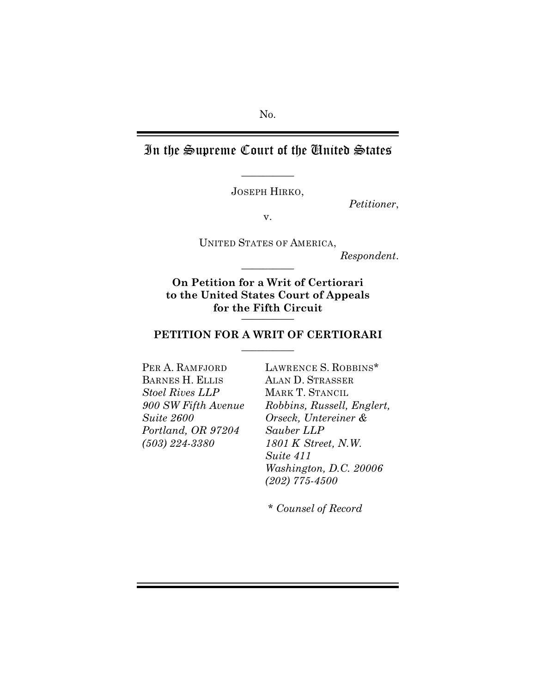# In the Supreme Court of the United States

JOSEPH HIRKO,

 $\overline{\phantom{a}}$  , where  $\overline{\phantom{a}}$ 

*Petitioner*,

v.

UNITED STATES OF AMERICA, *Respondent*.  $\overline{\phantom{a}}$  , where  $\overline{\phantom{a}}$ 

**On Petition for a Writ of Certiorari to the United States Court of Appeals for the Fifth Circuit** \_\_\_\_\_\_\_\_\_\_

### **PETITION FOR A WRIT OF CERTIORARI**  $\overline{\phantom{a}}$  , where  $\overline{\phantom{a}}$

PER A. RAMFJORD BARNES H. ELLIS *Stoel Rives LLP 900 SW Fifth Avenue Suite 2600 Portland, OR 97204 (503) 224-3380*

LAWRENCE S. ROBBINS\* ALAN D. STRASSER MARK T. STANCIL *Robbins, Russell, Englert, Orseck, Untereiner & Sauber LLP 1801 K Street, N.W. Suite 411 Washington, D.C. 20006 (202) 775-4500*

*\* Counsel of Record*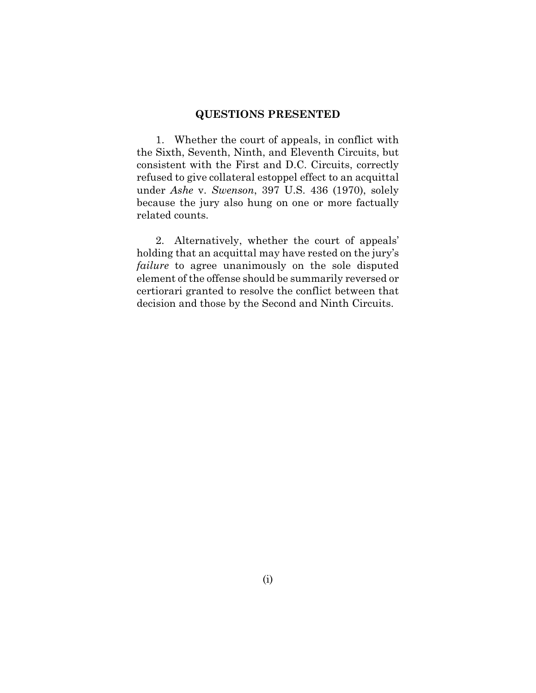#### **QUESTIONS PRESENTED**

1. Whether the court of appeals, in conflict with the Sixth, Seventh, Ninth, and Eleventh Circuits, but consistent with the First and D.C. Circuits, correctly refused to give collateral estoppel effect to an acquittal under *Ashe* v. *Swenson*, 397 U.S. 436 (1970), solely because the jury also hung on one or more factually related counts.

2. Alternatively, whether the court of appeals' holding that an acquittal may have rested on the jury's *failure* to agree unanimously on the sole disputed element of the offense should be summarily reversed or certiorari granted to resolve the conflict between that decision and those by the Second and Ninth Circuits.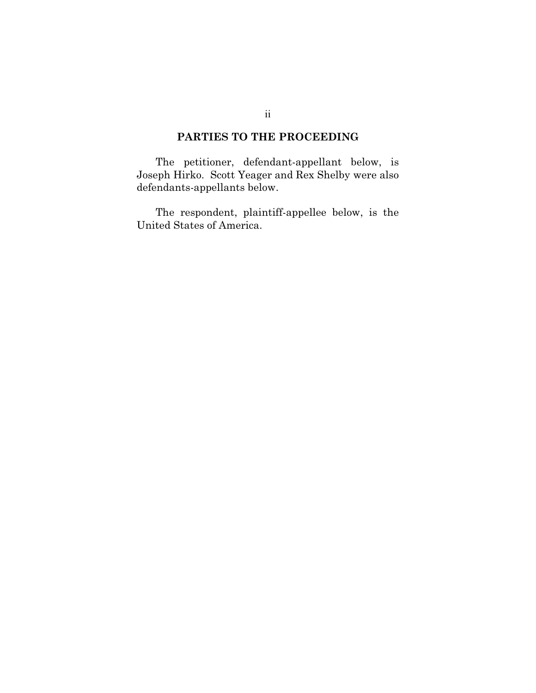### **PARTIES TO THE PROCEEDING**

The petitioner, defendant-appellant below, is Joseph Hirko. Scott Yeager and Rex Shelby were also defendants-appellants below.

The respondent, plaintiff-appellee below, is the United States of America.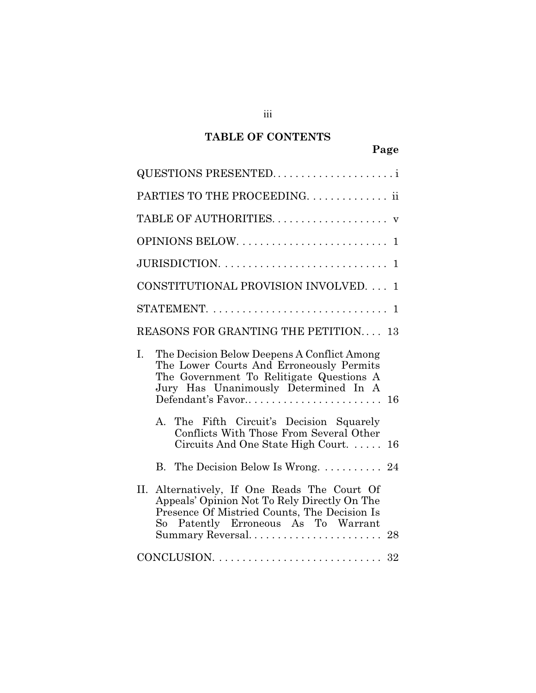### **TABLE OF CONTENTS**

| QUESTIONS PRESENTED                                                                                                                                                                                        |              |
|------------------------------------------------------------------------------------------------------------------------------------------------------------------------------------------------------------|--------------|
| PARTIES TO THE PROCEEDING ii                                                                                                                                                                               |              |
|                                                                                                                                                                                                            |              |
|                                                                                                                                                                                                            | $\mathbf{1}$ |
|                                                                                                                                                                                                            | $\mathbf 1$  |
| CONSTITUTIONAL PROVISION INVOLVED.                                                                                                                                                                         | 1.           |
|                                                                                                                                                                                                            |              |
| <b>REASONS FOR GRANTING THE PETITION 13</b>                                                                                                                                                                |              |
| The Decision Below Deepens A Conflict Among<br>I.<br>The Lower Courts And Erroneously Permits<br>The Government To Relitigate Questions A<br>Jury Has Unanimously Determined In A<br>Defendant's Favor     | 16           |
| The Fifth Circuit's Decision Squarely<br>A.<br>Conflicts With Those From Several Other<br>Circuits And One State High Court                                                                                | 16           |
| B. The Decision Below Is Wrong. 24                                                                                                                                                                         |              |
| II. Alternatively, If One Reads The Court Of<br>Appeals' Opinion Not To Rely Directly On The<br>Presence Of Mistried Counts, The Decision Is<br>So Patently Erroneous As To Warrant<br>Summary Reversal 28 |              |
| CONCLUSION. $\ldots \ldots \ldots \ldots \ldots \ldots \ldots \ldots \ldots \ldots$                                                                                                                        |              |

iii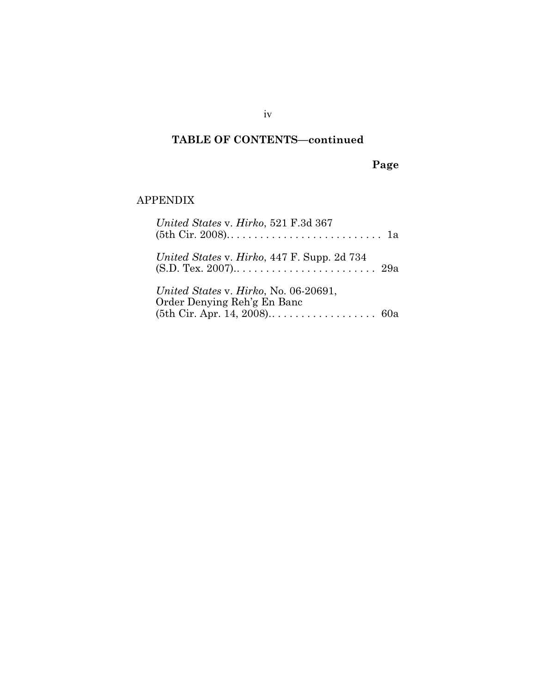## **TABLE OF CONTENTS—continued**

**Page**

### APPENDIX

| United States v. Hirko, 521 F.3d 367                                 |  |
|----------------------------------------------------------------------|--|
| United States v. Hirko, 447 F. Supp. 2d 734                          |  |
| United States v. Hirko, No. 06-20691,<br>Order Denying Reh'g En Banc |  |

iv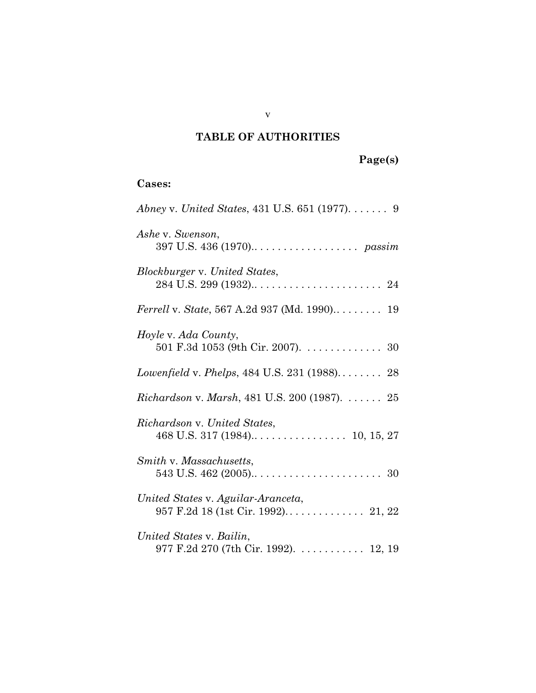### **TABLE OF AUTHORITIES**

| <b>Cases:</b> |  |
|---------------|--|
|---------------|--|

| Abney v. United States, 431 U.S. 651 (1977). $\dots \dots$ 9       |
|--------------------------------------------------------------------|
| Ashe v. Swenson,                                                   |
| Blockburger v. United States,                                      |
| Ferrell v. State, 567 A.2d 937 (Md. 1990) 19                       |
| <i>Hoyle v. Ada County,</i><br>501 F.3d 1053 (9th Cir. 2007). 30   |
| Lowenfield v. Phelps, 484 U.S. 231 (1988) 28                       |
| <i>Richardson v. Marsh</i> , 481 U.S. 200 (1987). $\dots \dots 25$ |
| Richardson v. United States,                                       |
| Smith v. Massachusetts,                                            |
| United States v. Aguilar-Aranceta,                                 |
| United States v. Bailin,<br>977 F.2d 270 (7th Cir. 1992). 12, 19   |

v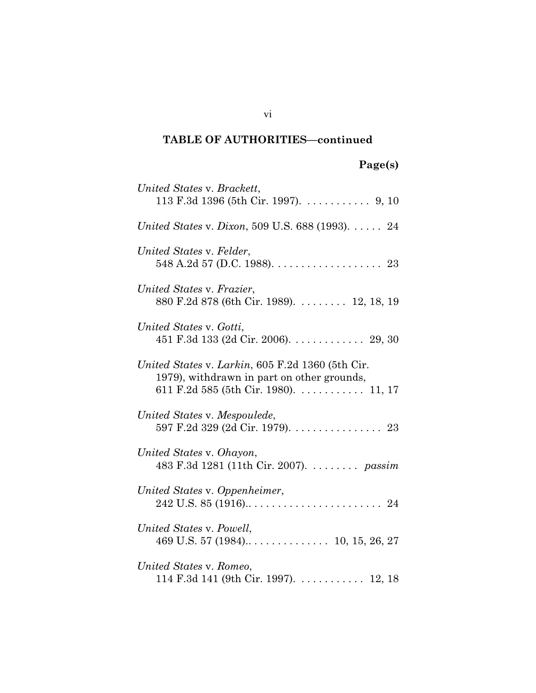### **TABLE OF AUTHORITIES—continued**

# **Page(s)**

| United States v. Brackett,<br>113 F.3d 1396 (5th Cir. 1997). 9, 10                                                                             |
|------------------------------------------------------------------------------------------------------------------------------------------------|
|                                                                                                                                                |
| United States v. Dixon, 509 U.S. 688 (1993). 24                                                                                                |
| United States v. Felder,<br>548 A.2d 57 (D.C. 1988). $\ldots$ . 23                                                                             |
| United States v. Frazier,<br>880 F.2d 878 (6th Cir. 1989). 12, 18, 19                                                                          |
| United States v. Gotti,<br>451 F.3d 133 (2d Cir. 2006). 29, 30                                                                                 |
| United States v. Larkin, 605 F.2d 1360 (5th Cir.<br>1979), withdrawn in part on other grounds,<br>611 F.2d 585 (5th Cir. 1980). $\dots$ 11, 17 |
| United States v. Mespoulede,<br>597 F.2d 329 (2d Cir. 1979). 23                                                                                |
| United States v. Ohayon,<br>483 F.3d 1281 (11th Cir. 2007). passim                                                                             |
| United States v. Oppenheimer,                                                                                                                  |
| United States v. Powell,                                                                                                                       |
| United States v. Romeo,<br>114 F.3d 141 (9th Cir. 1997). 12, 18                                                                                |

vi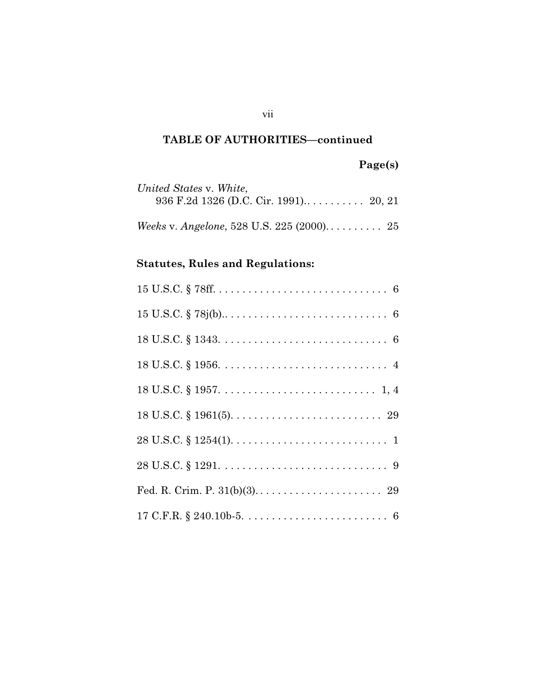### **TABLE OF AUTHORITIES—continued**

# **Page(s)**

| United States v. White, |  |
|-------------------------|--|
|                         |  |

# **Statutes, Rules and Regulations:**

| $28 \text{ U.S.C.} \S 1254(1). \ldots \ldots \ldots \ldots \ldots \ldots \ldots \ldots \ldots 1$ |
|--------------------------------------------------------------------------------------------------|
|                                                                                                  |
|                                                                                                  |
|                                                                                                  |

vii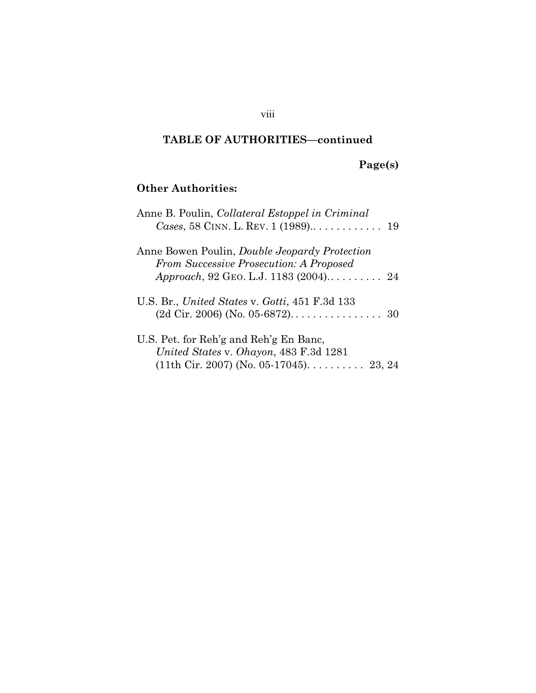### **TABLE OF AUTHORITIES—continued**

viii

# **Page(s)**

## **Other Authorities:**

| Anne B. Poulin, Collateral Estoppel in Criminal                                                        |  |
|--------------------------------------------------------------------------------------------------------|--|
| Anne Bowen Poulin, <i>Double Jeopardy Protection</i><br><b>From Successive Prosecution: A Proposed</b> |  |
|                                                                                                        |  |
| U.S. Br., United States v. Gotti, 451 F.3d 133                                                         |  |
|                                                                                                        |  |
| U.S. Pet. for Reh'g and Reh'g En Banc,                                                                 |  |
| United States v. Ohayon, 483 F.3d 1281                                                                 |  |
| $(11th$ Cir. 2007) (No. 05-17045) 23, 24                                                               |  |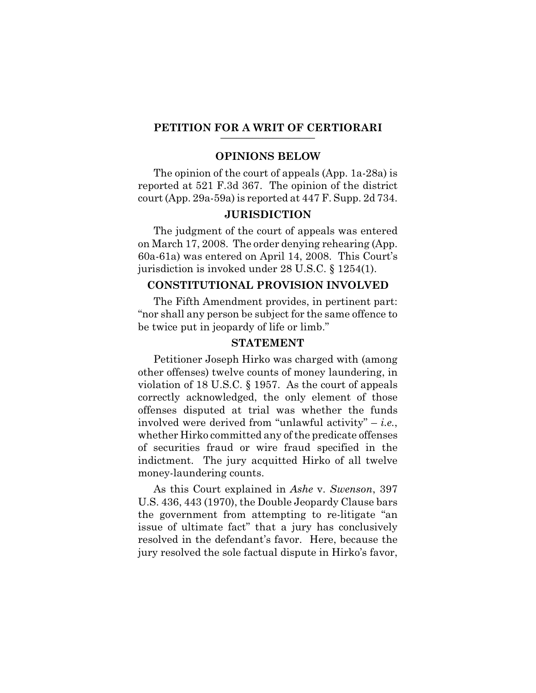# **PETITION FOR A WRIT OF CERTIORARI \_\_\_\_\_\_\_\_\_\_\_\_\_\_\_\_\_\_**

#### **OPINIONS BELOW**

The opinion of the court of appeals (App. 1a-28a) is reported at 521 F.3d 367. The opinion of the district court (App. 29a-59a) is reported at 447 F. Supp. 2d 734.

#### **JURISDICTION**

The judgment of the court of appeals was entered on March 17, 2008. The order denying rehearing (App. 60a-61a) was entered on April 14, 2008. This Court's jurisdiction is invoked under 28 U.S.C. § 1254(1).

#### **CONSTITUTIONAL PROVISION INVOLVED**

The Fifth Amendment provides, in pertinent part: "nor shall any person be subject for the same offence to be twice put in jeopardy of life or limb."

#### **STATEMENT**

Petitioner Joseph Hirko was charged with (among other offenses) twelve counts of money laundering, in violation of 18 U.S.C. § 1957. As the court of appeals correctly acknowledged, the only element of those offenses disputed at trial was whether the funds involved were derived from "unlawful activity" – *i.e.*, whether Hirko committed any of the predicate offenses of securities fraud or wire fraud specified in the indictment. The jury acquitted Hirko of all twelve money-laundering counts.

As this Court explained in *Ashe* v. *Swenson*, 397 U.S. 436, 443 (1970), the Double Jeopardy Clause bars the government from attempting to re-litigate "an issue of ultimate fact" that a jury has conclusively resolved in the defendant's favor. Here, because the jury resolved the sole factual dispute in Hirko's favor,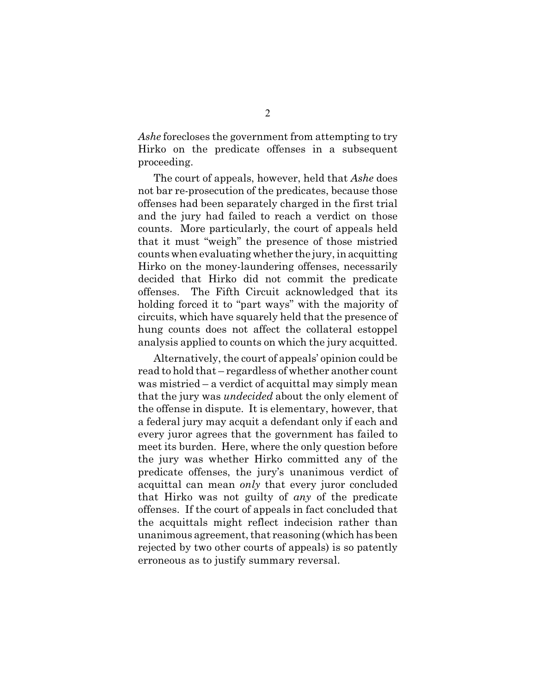*Ashe* forecloses the government from attempting to try Hirko on the predicate offenses in a subsequent proceeding.

The court of appeals, however, held that *Ashe* does not bar re-prosecution of the predicates, because those offenses had been separately charged in the first trial and the jury had failed to reach a verdict on those counts. More particularly, the court of appeals held that it must "weigh" the presence of those mistried counts when evaluating whether the jury, in acquitting Hirko on the money-laundering offenses, necessarily decided that Hirko did not commit the predicate offenses. The Fifth Circuit acknowledged that its holding forced it to "part ways" with the majority of circuits, which have squarely held that the presence of hung counts does not affect the collateral estoppel analysis applied to counts on which the jury acquitted.

Alternatively, the court of appeals' opinion could be read to hold that – regardless of whether another count was mistried – a verdict of acquittal may simply mean that the jury was *undecided* about the only element of the offense in dispute. It is elementary, however, that a federal jury may acquit a defendant only if each and every juror agrees that the government has failed to meet its burden. Here, where the only question before the jury was whether Hirko committed any of the predicate offenses, the jury's unanimous verdict of acquittal can mean *only* that every juror concluded that Hirko was not guilty of *any* of the predicate offenses. If the court of appeals in fact concluded that the acquittals might reflect indecision rather than unanimous agreement, that reasoning (which has been rejected by two other courts of appeals) is so patently erroneous as to justify summary reversal.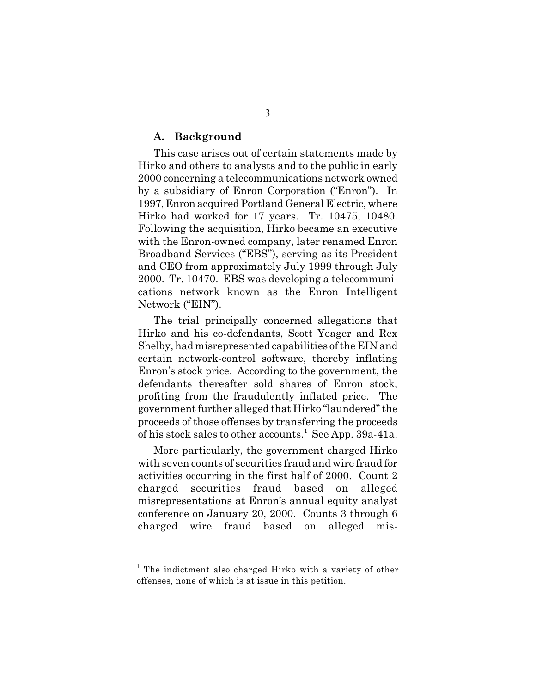#### **A. Background**

This case arises out of certain statements made by Hirko and others to analysts and to the public in early 2000 concerning a telecommunications network owned by a subsidiary of Enron Corporation ("Enron"). In 1997, Enron acquired Portland General Electric, where Hirko had worked for 17 years. Tr. 10475, 10480. Following the acquisition, Hirko became an executive with the Enron-owned company, later renamed Enron Broadband Services ("EBS"), serving as its President and CEO from approximately July 1999 through July 2000. Tr. 10470. EBS was developing a telecommunications network known as the Enron Intelligent Network ("EIN").

The trial principally concerned allegations that Hirko and his co-defendants, Scott Yeager and Rex Shelby, had misrepresented capabilities of the EIN and certain network-control software, thereby inflating Enron's stock price. According to the government, the defendants thereafter sold shares of Enron stock, profiting from the fraudulently inflated price. The government further alleged that Hirko "laundered" the proceeds of those offenses by transferring the proceeds of his stock sales to other accounts.<sup>1</sup> See App. 39a-41a.

More particularly, the government charged Hirko with seven counts of securities fraud and wire fraud for activities occurring in the first half of 2000. Count 2 charged securities fraud based on alleged misrepresentations at Enron's annual equity analyst conference on January 20, 2000. Counts 3 through 6 charged wire fraud based on alleged mis-

 $1$  The indictment also charged Hirko with a variety of other offenses, none of which is at issue in this petition.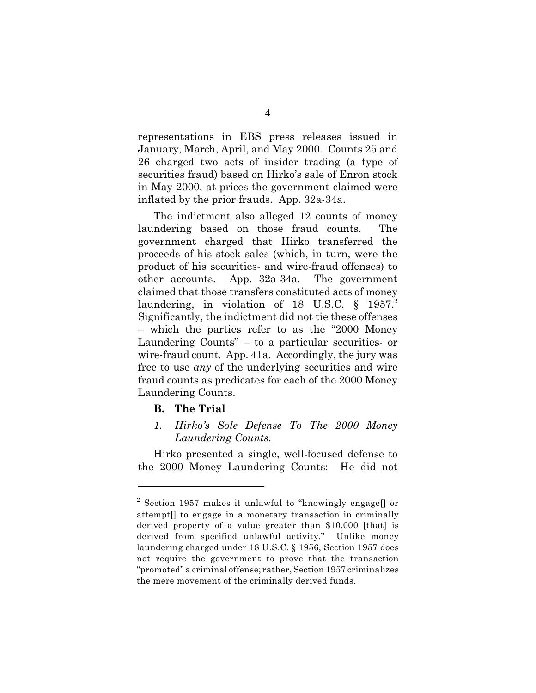representations in EBS press releases issued in January, March, April, and May 2000. Counts 25 and 26 charged two acts of insider trading (a type of securities fraud) based on Hirko's sale of Enron stock in May 2000, at prices the government claimed were inflated by the prior frauds. App. 32a-34a.

The indictment also alleged 12 counts of money laundering based on those fraud counts. The government charged that Hirko transferred the proceeds of his stock sales (which, in turn, were the product of his securities- and wire-fraud offenses) to other accounts. App. 32a-34a. The government claimed that those transfers constituted acts of money laundering, in violation of 18 U.S.C.  $\S$  1957. Significantly, the indictment did not tie these offenses – which the parties refer to as the "2000 Money Laundering Counts" – to a particular securities- or wire-fraud count. App. 41a. Accordingly, the jury was free to use *any* of the underlying securities and wire fraud counts as predicates for each of the 2000 Money Laundering Counts.

#### **B. The Trial**

*1. Hirko's Sole Defense To The 2000 Money Laundering Counts*.

Hirko presented a single, well-focused defense to the 2000 Money Laundering Counts: He did not

 $^2$  Section 1957 makes it unlawful to "knowingly engage[] or attempt[] to engage in a monetary transaction in criminally derived property of a value greater than \$10,000 [that] is derived from specified unlawful activity." Unlike money laundering charged under 18 U.S.C. § 1956, Section 1957 does not require the government to prove that the transaction "promoted" a criminal offense; rather, Section 1957 criminalizes the mere movement of the criminally derived funds.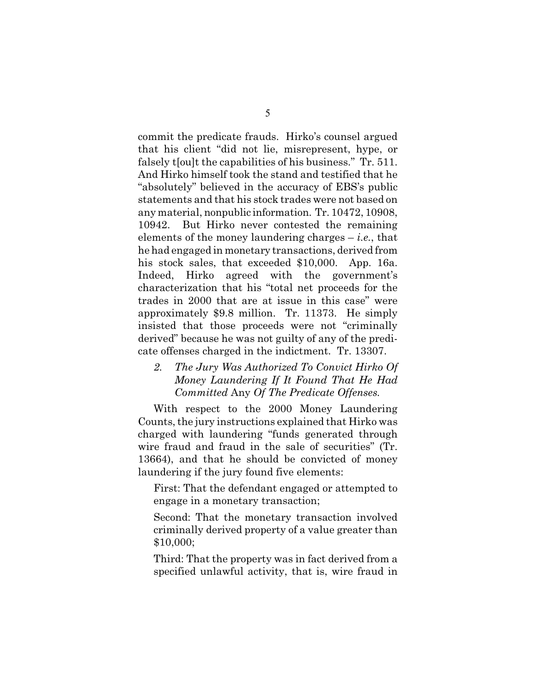commit the predicate frauds. Hirko's counsel argued that his client "did not lie, misrepresent, hype, or falsely t[ou]t the capabilities of his business." Tr. 511. And Hirko himself took the stand and testified that he "absolutely" believed in the accuracy of EBS's public statements and that his stock trades were not based on any material, nonpublic information. Tr. 10472, 10908, 10942. But Hirko never contested the remaining elements of the money laundering charges – *i.e.*, that he had engaged in monetary transactions, derived from his stock sales, that exceeded \$10,000. App. 16a. Indeed, Hirko agreed with the government's characterization that his "total net proceeds for the trades in 2000 that are at issue in this case" were approximately \$9.8 million. Tr. 11373. He simply insisted that those proceeds were not "criminally derived" because he was not guilty of any of the predicate offenses charged in the indictment. Tr. 13307.

### *2. The Jury Was Authorized To Convict Hirko Of Money Laundering If It Found That He Had Committed* Any *Of The Predicate Offenses.*

With respect to the 2000 Money Laundering Counts, the jury instructions explained that Hirko was charged with laundering "funds generated through wire fraud and fraud in the sale of securities" (Tr. 13664), and that he should be convicted of money laundering if the jury found five elements:

First: That the defendant engaged or attempted to engage in a monetary transaction;

Second: That the monetary transaction involved criminally derived property of a value greater than \$10,000;

Third: That the property was in fact derived from a specified unlawful activity, that is, wire fraud in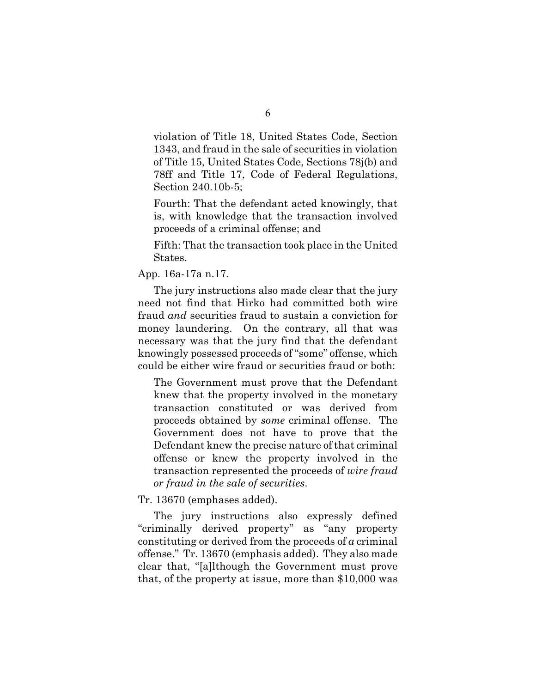violation of Title 18, United States Code, Section 1343, and fraud in the sale of securities in violation of Title 15, United States Code, Sections 78j(b) and 78ff and Title 17, Code of Federal Regulations, Section 240.10b-5;

Fourth: That the defendant acted knowingly, that is, with knowledge that the transaction involved proceeds of a criminal offense; and

Fifth: That the transaction took place in the United States.

#### App. 16a-17a n.17.

The jury instructions also made clear that the jury need not find that Hirko had committed both wire fraud *and* securities fraud to sustain a conviction for money laundering. On the contrary, all that was necessary was that the jury find that the defendant knowingly possessed proceeds of "some" offense, which could be either wire fraud or securities fraud or both:

The Government must prove that the Defendant knew that the property involved in the monetary transaction constituted or was derived from proceeds obtained by *some* criminal offense. The Government does not have to prove that the Defendant knew the precise nature of that criminal offense or knew the property involved in the transaction represented the proceeds of *wire fraud or fraud in the sale of securities*.

#### Tr. 13670 (emphases added).

The jury instructions also expressly defined "criminally derived property" as "any property constituting or derived from the proceeds of *a* criminal offense." Tr. 13670 (emphasis added). They also made clear that, "[a]lthough the Government must prove that, of the property at issue, more than \$10,000 was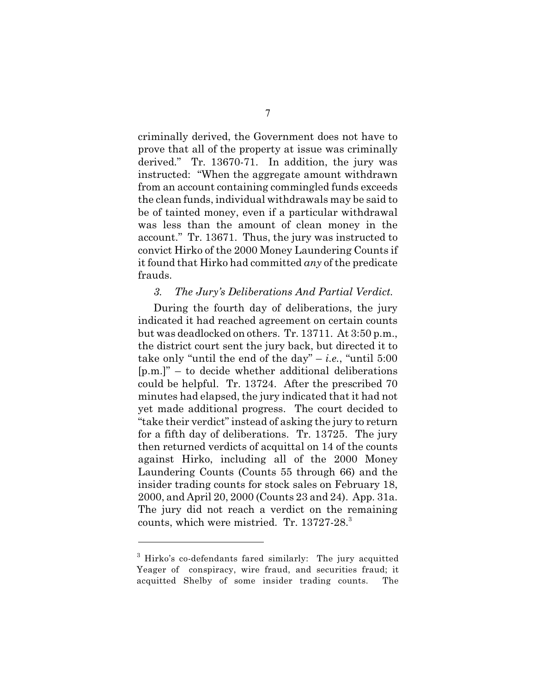criminally derived, the Government does not have to prove that all of the property at issue was criminally derived." Tr. 13670-71. In addition, the jury was instructed: "When the aggregate amount withdrawn from an account containing commingled funds exceeds the clean funds, individual withdrawals may be said to be of tainted money, even if a particular withdrawal was less than the amount of clean money in the account." Tr. 13671. Thus, the jury was instructed to convict Hirko of the 2000 Money Laundering Counts if it found that Hirko had committed *any* of the predicate frauds.

#### *3. The Jury's Deliberations And Partial Verdict.*

During the fourth day of deliberations, the jury indicated it had reached agreement on certain counts but was deadlocked on others. Tr. 13711. At 3:50 p.m., the district court sent the jury back, but directed it to take only "until the end of the day"  $-i.e.,$  "until 5:00 [p.m.]" – to decide whether additional deliberations could be helpful. Tr. 13724. After the prescribed 70 minutes had elapsed, the jury indicated that it had not yet made additional progress. The court decided to "take their verdict" instead of asking the jury to return for a fifth day of deliberations. Tr. 13725. The jury then returned verdicts of acquittal on 14 of the counts against Hirko, including all of the 2000 Money Laundering Counts (Counts 55 through 66) and the insider trading counts for stock sales on February 18, 2000, and April 20, 2000 (Counts 23 and 24). App. 31a. The jury did not reach a verdict on the remaining counts, which were mistried. Tr. 13727-28.<sup>3</sup>

 $3$  Hirko's co-defendants fared similarly: The jury acquitted Yeager of conspiracy, wire fraud, and securities fraud; it acquitted Shelby of some insider trading counts. The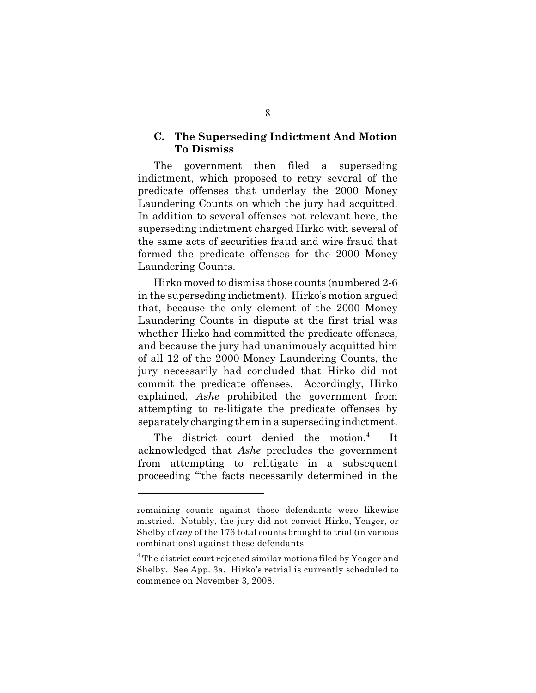#### **C. The Superseding Indictment And Motion To Dismiss**

The government then filed a superseding indictment, which proposed to retry several of the predicate offenses that underlay the 2000 Money Laundering Counts on which the jury had acquitted. In addition to several offenses not relevant here, the superseding indictment charged Hirko with several of the same acts of securities fraud and wire fraud that formed the predicate offenses for the 2000 Money Laundering Counts.

Hirko moved to dismiss those counts (numbered 2-6 in the superseding indictment). Hirko's motion argued that, because the only element of the 2000 Money Laundering Counts in dispute at the first trial was whether Hirko had committed the predicate offenses, and because the jury had unanimously acquitted him of all 12 of the 2000 Money Laundering Counts, the jury necessarily had concluded that Hirko did not commit the predicate offenses. Accordingly, Hirko explained, *Ashe* prohibited the government from attempting to re-litigate the predicate offenses by separately charging them in a superseding indictment.

The district court denied the motion.<sup>4</sup> It acknowledged that *Ashe* precludes the government from attempting to relitigate in a subsequent proceeding "'the facts necessarily determined in the

remaining counts against those defendants were likewise mistried. Notably, the jury did not convict Hirko, Yeager, or Shelby of *any* of the 176 total counts brought to trial (in various combinations) against these defendants.

 $4$  The district court rejected similar motions filed by Yeager and Shelby. See App. 3a. Hirko's retrial is currently scheduled to commence on November 3, 2008.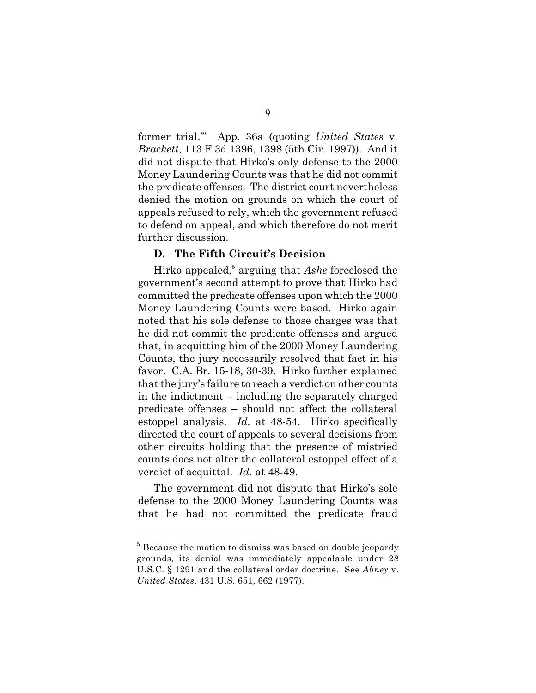former trial.'" App. 36a (quoting *United States* v. *Brackett*, 113 F.3d 1396, 1398 (5th Cir. 1997)). And it did not dispute that Hirko's only defense to the 2000 Money Laundering Counts was that he did not commit the predicate offenses. The district court nevertheless denied the motion on grounds on which the court of appeals refused to rely, which the government refused to defend on appeal, and which therefore do not merit further discussion.

#### **D. The Fifth Circuit's Decision**

Hirko appealed,<sup>5</sup> arguing that *Ashe* foreclosed the government's second attempt to prove that Hirko had committed the predicate offenses upon which the 2000 Money Laundering Counts were based. Hirko again noted that his sole defense to those charges was that he did not commit the predicate offenses and argued that, in acquitting him of the 2000 Money Laundering Counts, the jury necessarily resolved that fact in his favor. C.A. Br. 15-18, 30-39. Hirko further explained that the jury's failure to reach a verdict on other counts in the indictment – including the separately charged predicate offenses – should not affect the collateral estoppel analysis. *Id.* at 48-54. Hirko specifically directed the court of appeals to several decisions from other circuits holding that the presence of mistried counts does not alter the collateral estoppel effect of a verdict of acquittal. *Id.* at 48-49.

The government did not dispute that Hirko's sole defense to the 2000 Money Laundering Counts was that he had not committed the predicate fraud

 $5$  Because the motion to dismiss was based on double jeopardy grounds, its denial was immediately appealable under 28 U.S.C. § 1291 and the collateral order doctrine. See *Abney* v. *United States*, 431 U.S. 651, 662 (1977).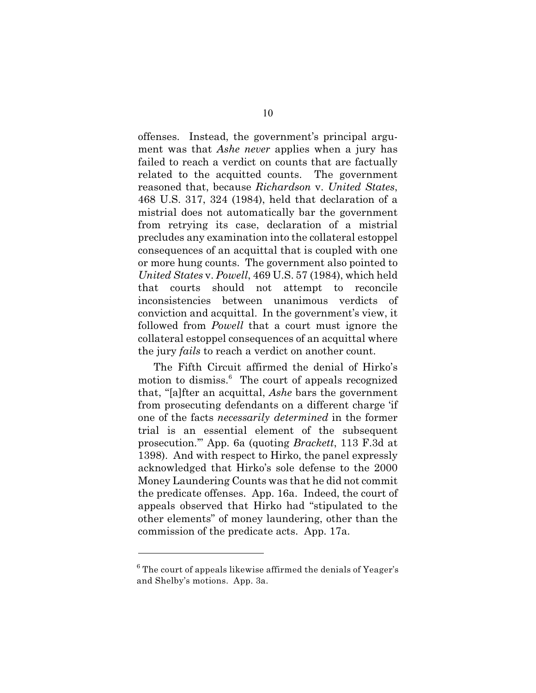offenses. Instead, the government's principal argument was that *Ashe never* applies when a jury has failed to reach a verdict on counts that are factually related to the acquitted counts. The government reasoned that, because *Richardson* v. *United States*, 468 U.S. 317, 324 (1984), held that declaration of a mistrial does not automatically bar the government from retrying its case, declaration of a mistrial precludes any examination into the collateral estoppel consequences of an acquittal that is coupled with one or more hung counts. The government also pointed to *United States* v. *Powell*, 469 U.S. 57 (1984), which held that courts should not attempt to reconcile inconsistencies between unanimous verdicts of conviction and acquittal. In the government's view, it followed from *Powell* that a court must ignore the collateral estoppel consequences of an acquittal where the jury *fails* to reach a verdict on another count.

The Fifth Circuit affirmed the denial of Hirko's motion to dismiss.<sup>6</sup> The court of appeals recognized that, "[a]fter an acquittal, *Ashe* bars the government from prosecuting defendants on a different charge 'if one of the facts *necessarily determined* in the former trial is an essential element of the subsequent prosecution.'" App. 6a (quoting *Brackett*, 113 F.3d at 1398). And with respect to Hirko, the panel expressly acknowledged that Hirko's sole defense to the 2000 Money Laundering Counts was that he did not commit the predicate offenses. App. 16a. Indeed, the court of appeals observed that Hirko had "stipulated to the other elements" of money laundering, other than the commission of the predicate acts. App. 17a.

 $6$  The court of appeals likewise affirmed the denials of Yeager's and Shelby's motions. App. 3a.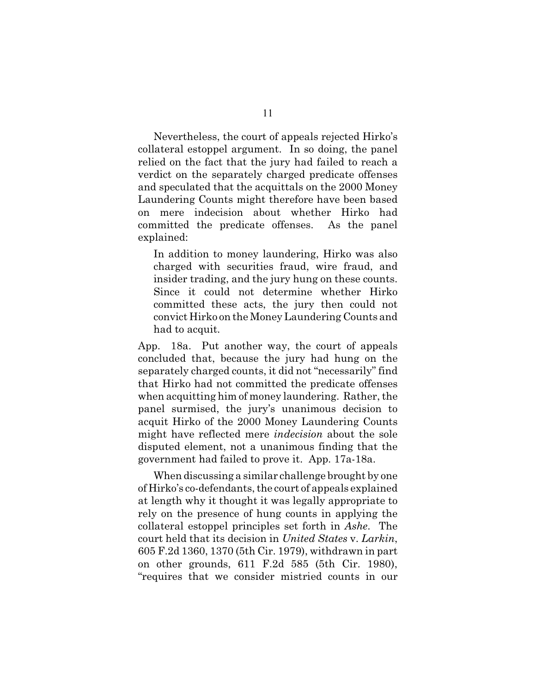Nevertheless, the court of appeals rejected Hirko's collateral estoppel argument. In so doing, the panel relied on the fact that the jury had failed to reach a verdict on the separately charged predicate offenses and speculated that the acquittals on the 2000 Money Laundering Counts might therefore have been based on mere indecision about whether Hirko had committed the predicate offenses. As the panel explained:

In addition to money laundering, Hirko was also charged with securities fraud, wire fraud, and insider trading, and the jury hung on these counts. Since it could not determine whether Hirko committed these acts, the jury then could not convict Hirko on the Money Laundering Counts and had to acquit.

App. 18a. Put another way, the court of appeals concluded that, because the jury had hung on the separately charged counts, it did not "necessarily" find that Hirko had not committed the predicate offenses when acquitting him of money laundering. Rather, the panel surmised, the jury's unanimous decision to acquit Hirko of the 2000 Money Laundering Counts might have reflected mere *indecision* about the sole disputed element, not a unanimous finding that the government had failed to prove it. App. 17a-18a.

When discussing a similar challenge brought by one of Hirko's co-defendants, the court of appeals explained at length why it thought it was legally appropriate to rely on the presence of hung counts in applying the collateral estoppel principles set forth in *Ashe*. The court held that its decision in *United States* v. *Larkin*, 605 F.2d 1360, 1370 (5th Cir. 1979), withdrawn in part on other grounds, 611 F.2d 585 (5th Cir. 1980), "requires that we consider mistried counts in our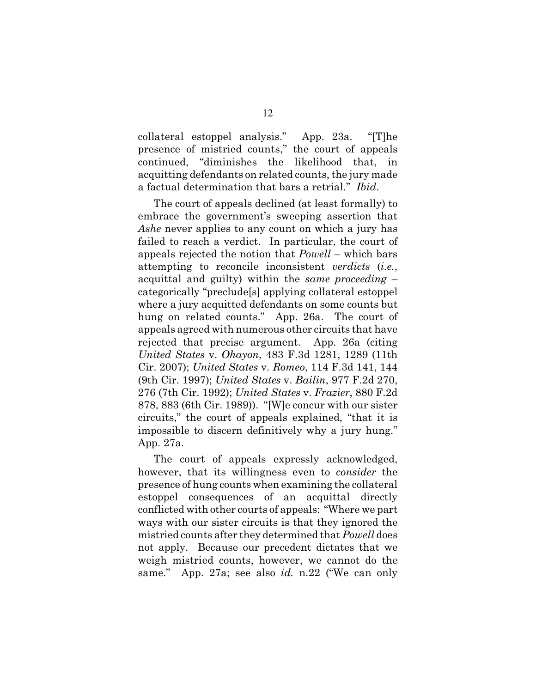collateral estoppel analysis." App. 23a. "[T]he presence of mistried counts," the court of appeals continued, "diminishes the likelihood that, in acquitting defendants on related counts, the jury made a factual determination that bars a retrial." *Ibid*.

The court of appeals declined (at least formally) to embrace the government's sweeping assertion that *Ashe* never applies to any count on which a jury has failed to reach a verdict. In particular, the court of appeals rejected the notion that *Powell* – which bars attempting to reconcile inconsistent *verdicts* (*i.e.*, acquittal and guilty) within the *same proceeding* – categorically "preclude[s] applying collateral estoppel where a jury acquitted defendants on some counts but hung on related counts." App. 26a. The court of appeals agreed with numerous other circuits that have rejected that precise argument. App. 26a (citing *United States* v. *Ohayon*, 483 F.3d 1281, 1289 (11th Cir. 2007); *United States* v. *Romeo*, 114 F.3d 141, 144 (9th Cir. 1997); *United States* v. *Bailin*, 977 F.2d 270, 276 (7th Cir. 1992); *United States* v. *Frazier*, 880 F.2d 878, 883 (6th Cir. 1989)). "[W]e concur with our sister circuits," the court of appeals explained, "that it is impossible to discern definitively why a jury hung." App. 27a.

The court of appeals expressly acknowledged, however, that its willingness even to *consider* the presence of hung counts when examining the collateral estoppel consequences of an acquittal directly conflicted with other courts of appeals: "Where we part ways with our sister circuits is that they ignored the mistried counts after they determined that *Powell* does not apply. Because our precedent dictates that we weigh mistried counts, however, we cannot do the same." App. 27a; see also *id.* n.22 ("We can only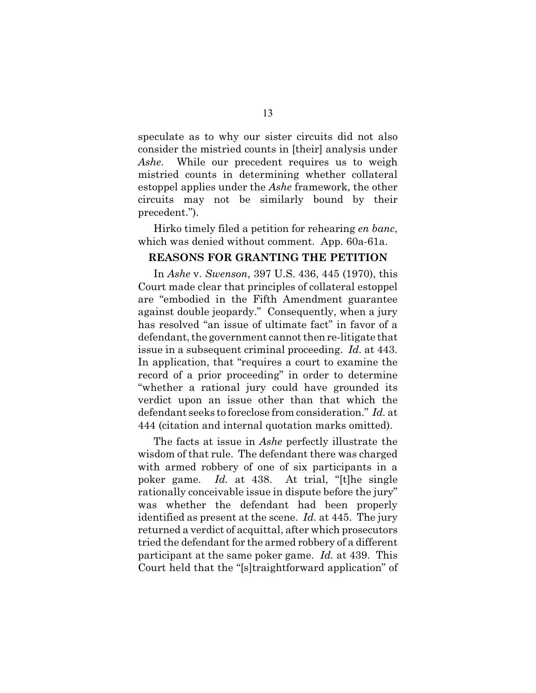speculate as to why our sister circuits did not also consider the mistried counts in [their] analysis under *Ashe*. While our precedent requires us to weigh mistried counts in determining whether collateral estoppel applies under the *Ashe* framework, the other circuits may not be similarly bound by their precedent.").

Hirko timely filed a petition for rehearing *en banc*, which was denied without comment. App. 60a-61a.

### **REASONS FOR GRANTING THE PETITION**

In *Ashe* v. *Swenson*, 397 U.S. 436, 445 (1970), this Court made clear that principles of collateral estoppel are "embodied in the Fifth Amendment guarantee against double jeopardy." Consequently, when a jury has resolved "an issue of ultimate fact" in favor of a defendant, the government cannot then re-litigate that issue in a subsequent criminal proceeding. *Id.* at 443. In application, that "requires a court to examine the record of a prior proceeding" in order to determine "whether a rational jury could have grounded its verdict upon an issue other than that which the defendant seeks to foreclose from consideration." *Id.* at 444 (citation and internal quotation marks omitted).

The facts at issue in *Ashe* perfectly illustrate the wisdom of that rule. The defendant there was charged with armed robbery of one of six participants in a poker game. *Id.* at 438. At trial, "[t]he single rationally conceivable issue in dispute before the jury" was whether the defendant had been properly identified as present at the scene. *Id.* at 445. The jury returned a verdict of acquittal, after which prosecutors tried the defendant for the armed robbery of a different participant at the same poker game. *Id.* at 439. This Court held that the "[s]traightforward application" of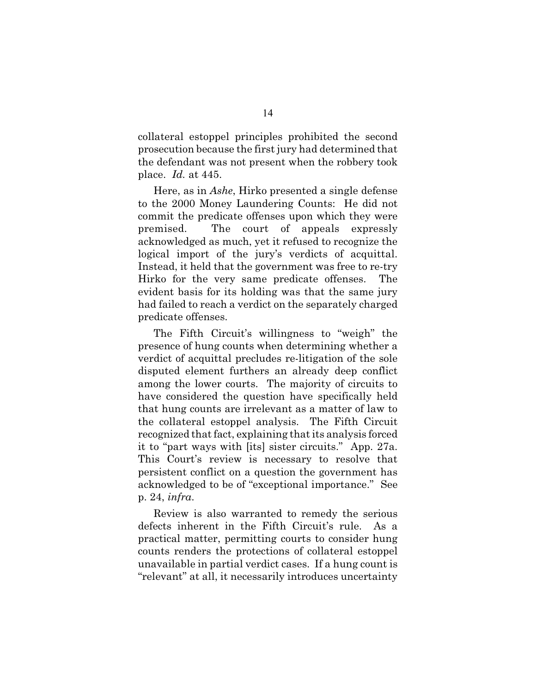collateral estoppel principles prohibited the second prosecution because the first jury had determined that the defendant was not present when the robbery took place. *Id.* at 445.

Here, as in *Ashe*, Hirko presented a single defense to the 2000 Money Laundering Counts: He did not commit the predicate offenses upon which they were premised. The court of appeals expressly acknowledged as much, yet it refused to recognize the logical import of the jury's verdicts of acquittal. Instead, it held that the government was free to re-try Hirko for the very same predicate offenses. The evident basis for its holding was that the same jury had failed to reach a verdict on the separately charged predicate offenses.

The Fifth Circuit's willingness to "weigh" the presence of hung counts when determining whether a verdict of acquittal precludes re-litigation of the sole disputed element furthers an already deep conflict among the lower courts. The majority of circuits to have considered the question have specifically held that hung counts are irrelevant as a matter of law to the collateral estoppel analysis. The Fifth Circuit recognized that fact, explaining that its analysis forced it to "part ways with [its] sister circuits." App. 27a. This Court's review is necessary to resolve that persistent conflict on a question the government has acknowledged to be of "exceptional importance." See p. 24, *infra*.

Review is also warranted to remedy the serious defects inherent in the Fifth Circuit's rule. As a practical matter, permitting courts to consider hung counts renders the protections of collateral estoppel unavailable in partial verdict cases. If a hung count is "relevant" at all, it necessarily introduces uncertainty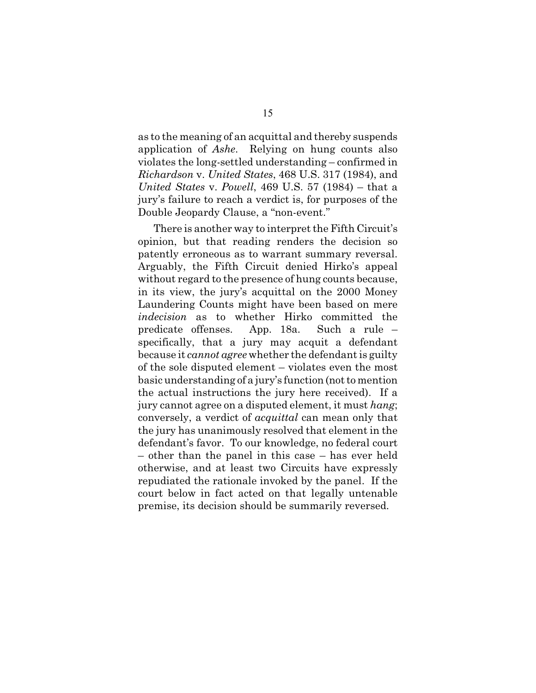as to the meaning of an acquittal and thereby suspends application of *Ashe*. Relying on hung counts also violates the long-settled understanding – confirmed in *Richardson* v. *United States*, 468 U.S. 317 (1984), and *United States* v. *Powell*, 469 U.S. 57 (1984) – that a jury's failure to reach a verdict is, for purposes of the Double Jeopardy Clause, a "non-event."

There is another way to interpret the Fifth Circuit's opinion, but that reading renders the decision so patently erroneous as to warrant summary reversal. Arguably, the Fifth Circuit denied Hirko's appeal without regard to the presence of hung counts because, in its view, the jury's acquittal on the 2000 Money Laundering Counts might have been based on mere *indecision* as to whether Hirko committed the predicate offenses. App. 18a. Such a rule – specifically, that a jury may acquit a defendant because it *cannot agree* whether the defendant is guilty of the sole disputed element – violates even the most basic understanding of a jury's function (not to mention the actual instructions the jury here received). If a jury cannot agree on a disputed element, it must *hang*; conversely, a verdict of *acquittal* can mean only that the jury has unanimously resolved that element in the defendant's favor. To our knowledge, no federal court – other than the panel in this case – has ever held otherwise, and at least two Circuits have expressly repudiated the rationale invoked by the panel. If the court below in fact acted on that legally untenable premise, its decision should be summarily reversed.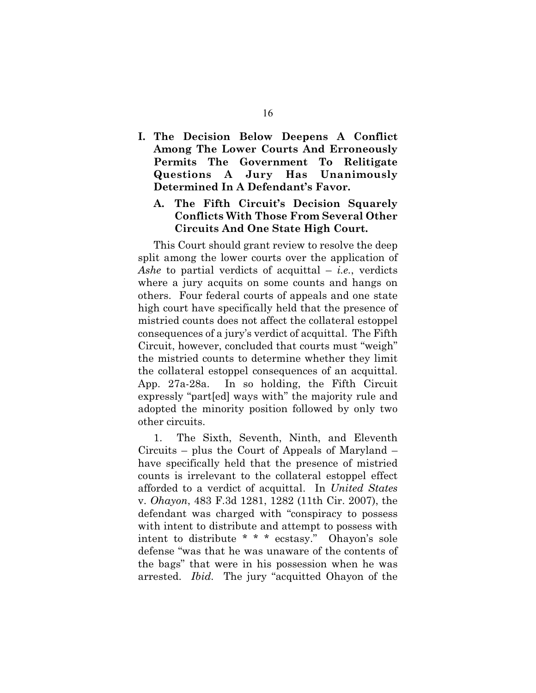**I. The Decision Below Deepens A Conflict Among The Lower Courts And Erroneously Permits The Government To Relitigate Questions A Jury Has Unanimously Determined In A Defendant's Favor.**

### **A. The Fifth Circuit's Decision Squarely Conflicts With Those From Several Other Circuits And One State High Court.**

This Court should grant review to resolve the deep split among the lower courts over the application of *Ashe* to partial verdicts of acquittal – *i.e.*, verdicts where a jury acquits on some counts and hangs on others. Four federal courts of appeals and one state high court have specifically held that the presence of mistried counts does not affect the collateral estoppel consequences of a jury's verdict of acquittal. The Fifth Circuit, however, concluded that courts must "weigh" the mistried counts to determine whether they limit the collateral estoppel consequences of an acquittal. App. 27a-28a. In so holding, the Fifth Circuit expressly "part[ed] ways with" the majority rule and adopted the minority position followed by only two other circuits.

1. The Sixth, Seventh, Ninth, and Eleventh Circuits – plus the Court of Appeals of Maryland – have specifically held that the presence of mistried counts is irrelevant to the collateral estoppel effect afforded to a verdict of acquittal. In *United States* v. *Ohayon*, 483 F.3d 1281, 1282 (11th Cir. 2007), the defendant was charged with "conspiracy to possess with intent to distribute and attempt to possess with intent to distribute \* \* \* ecstasy." Ohayon's sole defense "was that he was unaware of the contents of the bags" that were in his possession when he was arrested. *Ibid.* The jury "acquitted Ohayon of the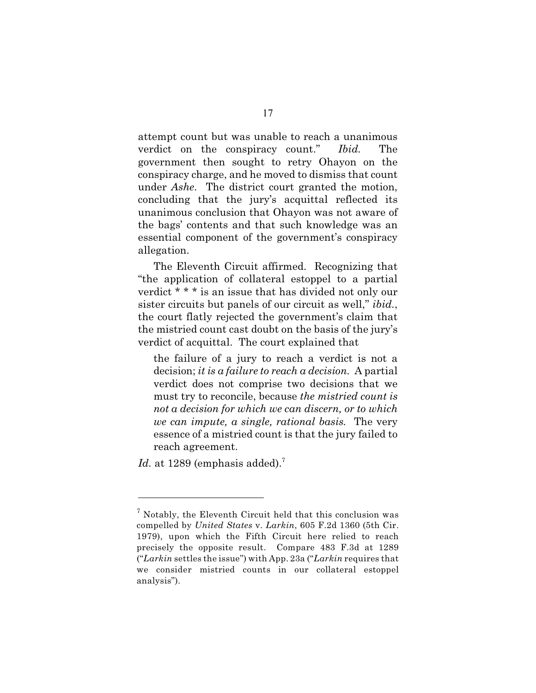attempt count but was unable to reach a unanimous verdict on the conspiracy count." *Ibid.* The government then sought to retry Ohayon on the conspiracy charge, and he moved to dismiss that count under *Ashe*. The district court granted the motion, concluding that the jury's acquittal reflected its unanimous conclusion that Ohayon was not aware of the bags' contents and that such knowledge was an essential component of the government's conspiracy allegation.

The Eleventh Circuit affirmed. Recognizing that "the application of collateral estoppel to a partial verdict \* \* \* is an issue that has divided not only our sister circuits but panels of our circuit as well," *ibid.*, the court flatly rejected the government's claim that the mistried count cast doubt on the basis of the jury's verdict of acquittal. The court explained that

the failure of a jury to reach a verdict is not a decision; *it is a failure to reach a decision.* A partial verdict does not comprise two decisions that we must try to reconcile, because *the mistried count is not a decision for which we can discern, or to which we can impute, a single, rational basis.* The very essence of a mistried count is that the jury failed to reach agreement.

*Id.* at 1289 (emphasis added).<sup>7</sup>

 $\frac{7}{7}$  Notably, the Eleventh Circuit held that this conclusion was compelled by *United States* v. *Larkin*, 605 F.2d 1360 (5th Cir. 1979), upon which the Fifth Circuit here relied to reach precisely the opposite result. Compare 483 F.3d at 1289 ("*Larkin* settles the issue") with App. 23a ("*Larkin* requires that we consider mistried counts in our collateral estoppel analysis").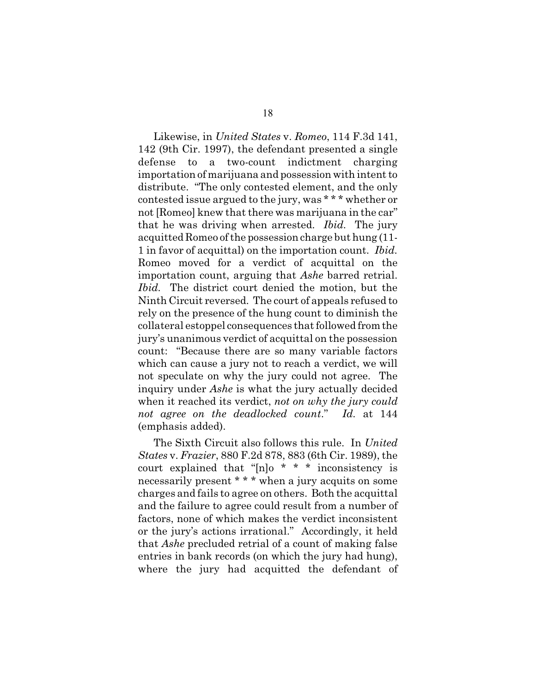Likewise, in *United States* v. *Romeo*, 114 F.3d 141, 142 (9th Cir. 1997), the defendant presented a single defense to a two-count indictment charging importation of marijuana and possession with intent to distribute. "The only contested element, and the only contested issue argued to the jury, was \* \* \* whether or not [Romeo] knew that there was marijuana in the car" that he was driving when arrested. *Ibid.* The jury acquitted Romeo of the possession charge but hung (11- 1 in favor of acquittal) on the importation count. *Ibid.* Romeo moved for a verdict of acquittal on the importation count, arguing that *Ashe* barred retrial. *Ibid.* The district court denied the motion, but the Ninth Circuit reversed. The court of appeals refused to rely on the presence of the hung count to diminish the collateral estoppel consequences that followed from the jury's unanimous verdict of acquittal on the possession count: "Because there are so many variable factors which can cause a jury not to reach a verdict, we will not speculate on why the jury could not agree. The inquiry under *Ashe* is what the jury actually decided when it reached its verdict, *not on why the jury could not agree on the deadlocked count*." *Id.* at 144 (emphasis added).

The Sixth Circuit also follows this rule. In *United States* v. *Frazier*, 880 F.2d 878, 883 (6th Cir. 1989), the court explained that "[n]o \* \* \* inconsistency is necessarily present \* \* \* when a jury acquits on some charges and fails to agree on others. Both the acquittal and the failure to agree could result from a number of factors, none of which makes the verdict inconsistent or the jury's actions irrational." Accordingly, it held that *Ashe* precluded retrial of a count of making false entries in bank records (on which the jury had hung), where the jury had acquitted the defendant of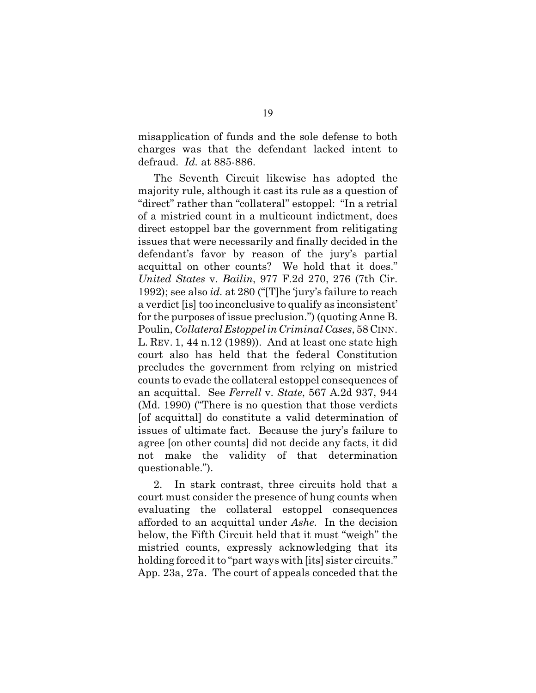misapplication of funds and the sole defense to both charges was that the defendant lacked intent to defraud. *Id.* at 885-886.

The Seventh Circuit likewise has adopted the majority rule, although it cast its rule as a question of "direct" rather than "collateral" estoppel: "In a retrial of a mistried count in a multicount indictment, does direct estoppel bar the government from relitigating issues that were necessarily and finally decided in the defendant's favor by reason of the jury's partial acquittal on other counts? We hold that it does." *United States* v. *Bailin*, 977 F.2d 270, 276 (7th Cir. 1992); see also *id.* at 280 ("[T]he 'jury's failure to reach a verdict [is] too inconclusive to qualify as inconsistent' for the purposes of issue preclusion.") (quoting Anne B. Poulin, *Collateral Estoppel in Criminal Cases*, 58 CINN. L. REV. 1, 44 n.12 (1989)). And at least one state high court also has held that the federal Constitution precludes the government from relying on mistried counts to evade the collateral estoppel consequences of an acquittal. See *Ferrell* v. *State*, 567 A.2d 937, 944 (Md. 1990) ("There is no question that those verdicts [of acquittal] do constitute a valid determination of issues of ultimate fact. Because the jury's failure to agree [on other counts] did not decide any facts, it did not make the validity of that determination questionable.").

2. In stark contrast, three circuits hold that a court must consider the presence of hung counts when evaluating the collateral estoppel consequences afforded to an acquittal under *Ashe*. In the decision below, the Fifth Circuit held that it must "weigh" the mistried counts, expressly acknowledging that its holding forced it to "part ways with [its] sister circuits." App. 23a, 27a. The court of appeals conceded that the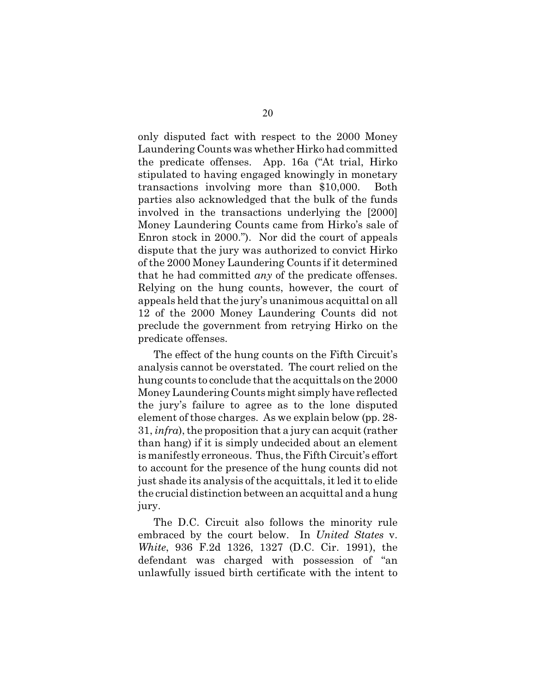only disputed fact with respect to the 2000 Money Laundering Counts was whether Hirko had committed the predicate offenses. App. 16a ("At trial, Hirko stipulated to having engaged knowingly in monetary transactions involving more than \$10,000. Both parties also acknowledged that the bulk of the funds involved in the transactions underlying the [2000] Money Laundering Counts came from Hirko's sale of Enron stock in 2000."). Nor did the court of appeals dispute that the jury was authorized to convict Hirko of the 2000 Money Laundering Counts if it determined that he had committed *any* of the predicate offenses. Relying on the hung counts, however, the court of appeals held that the jury's unanimous acquittal on all 12 of the 2000 Money Laundering Counts did not preclude the government from retrying Hirko on the predicate offenses.

The effect of the hung counts on the Fifth Circuit's analysis cannot be overstated. The court relied on the hung counts to conclude that the acquittals on the 2000 Money Laundering Counts might simply have reflected the jury's failure to agree as to the lone disputed element of those charges. As we explain below (pp. 28- 31, *infra*), the proposition that a jury can acquit (rather than hang) if it is simply undecided about an element is manifestly erroneous. Thus, the Fifth Circuit's effort to account for the presence of the hung counts did not just shade its analysis of the acquittals, it led it to elide the crucial distinction between an acquittal and a hung jury.

The D.C. Circuit also follows the minority rule embraced by the court below. In *United States* v. *White*, 936 F.2d 1326, 1327 (D.C. Cir. 1991), the defendant was charged with possession of "an unlawfully issued birth certificate with the intent to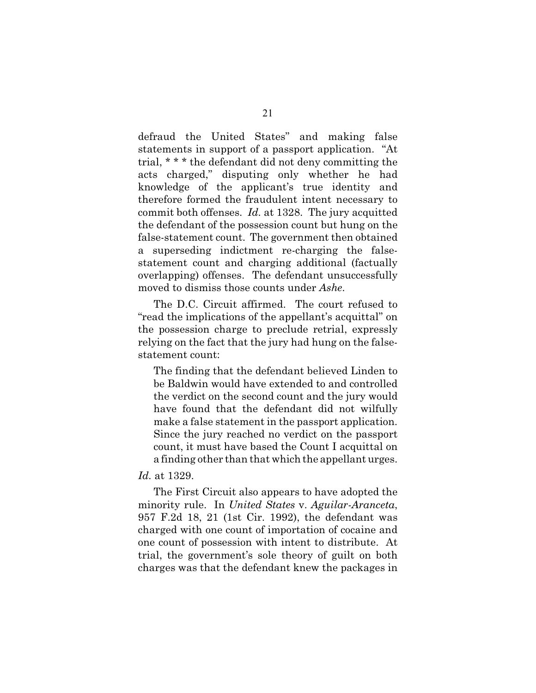defraud the United States" and making false statements in support of a passport application. "At trial, \* \* \* the defendant did not deny committing the acts charged," disputing only whether he had knowledge of the applicant's true identity and therefore formed the fraudulent intent necessary to commit both offenses. *Id.* at 1328. The jury acquitted the defendant of the possession count but hung on the false-statement count. The government then obtained a superseding indictment re-charging the falsestatement count and charging additional (factually overlapping) offenses. The defendant unsuccessfully moved to dismiss those counts under *Ashe*.

The D.C. Circuit affirmed. The court refused to "read the implications of the appellant's acquittal" on the possession charge to preclude retrial, expressly relying on the fact that the jury had hung on the falsestatement count:

The finding that the defendant believed Linden to be Baldwin would have extended to and controlled the verdict on the second count and the jury would have found that the defendant did not wilfully make a false statement in the passport application. Since the jury reached no verdict on the passport count, it must have based the Count I acquittal on a finding other than that which the appellant urges.

#### *Id.* at 1329.

The First Circuit also appears to have adopted the minority rule. In *United States* v. *Aguilar-Aranceta*, 957 F.2d 18, 21 (1st Cir. 1992), the defendant was charged with one count of importation of cocaine and one count of possession with intent to distribute. At trial, the government's sole theory of guilt on both charges was that the defendant knew the packages in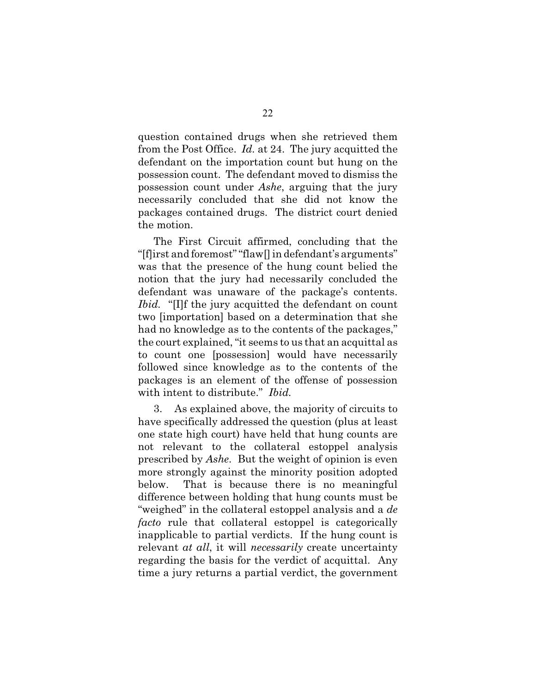question contained drugs when she retrieved them from the Post Office. *Id.* at 24. The jury acquitted the defendant on the importation count but hung on the possession count. The defendant moved to dismiss the possession count under *Ashe*, arguing that the jury necessarily concluded that she did not know the packages contained drugs. The district court denied the motion.

The First Circuit affirmed, concluding that the "[f]irst and foremost" "flaw[] in defendant's arguments" was that the presence of the hung count belied the notion that the jury had necessarily concluded the defendant was unaware of the package's contents. *Ibid.* "[I]f the jury acquitted the defendant on count two [importation] based on a determination that she had no knowledge as to the contents of the packages," the court explained, "it seems to us that an acquittal as to count one [possession] would have necessarily followed since knowledge as to the contents of the packages is an element of the offense of possession with intent to distribute." *Ibid.*

3. As explained above, the majority of circuits to have specifically addressed the question (plus at least one state high court) have held that hung counts are not relevant to the collateral estoppel analysis prescribed by *Ashe*. But the weight of opinion is even more strongly against the minority position adopted below. That is because there is no meaningful difference between holding that hung counts must be "weighed" in the collateral estoppel analysis and a *de facto* rule that collateral estoppel is categorically inapplicable to partial verdicts. If the hung count is relevant *at all*, it will *necessarily* create uncertainty regarding the basis for the verdict of acquittal. Any time a jury returns a partial verdict, the government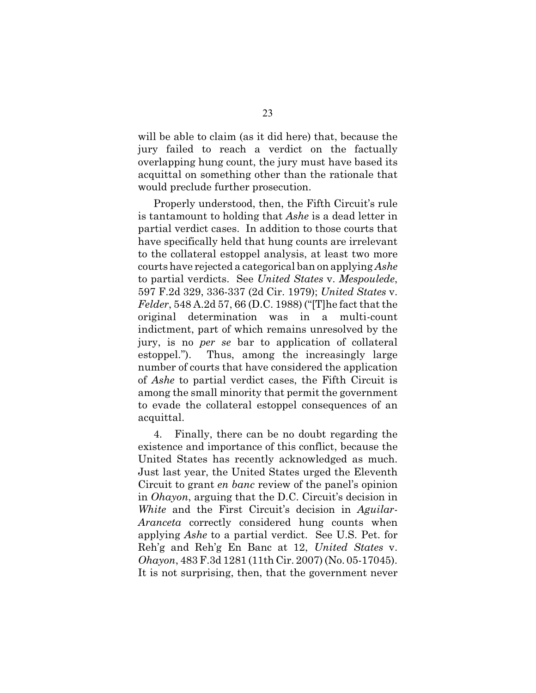will be able to claim (as it did here) that, because the jury failed to reach a verdict on the factually overlapping hung count, the jury must have based its acquittal on something other than the rationale that would preclude further prosecution.

Properly understood, then, the Fifth Circuit's rule is tantamount to holding that *Ashe* is a dead letter in partial verdict cases. In addition to those courts that have specifically held that hung counts are irrelevant to the collateral estoppel analysis, at least two more courts have rejected a categorical ban on applying *Ashe* to partial verdicts. See *United States* v. *Mespoulede*, 597 F.2d 329, 336-337 (2d Cir. 1979); *United States* v. *Felder*, 548 A.2d 57, 66 (D.C. 1988) ("[T]he fact that the original determination was in a multi-count indictment, part of which remains unresolved by the jury, is no *per se* bar to application of collateral estoppel."). Thus, among the increasingly large number of courts that have considered the application of *Ashe* to partial verdict cases, the Fifth Circuit is among the small minority that permit the government to evade the collateral estoppel consequences of an acquittal.

4. Finally, there can be no doubt regarding the existence and importance of this conflict, because the United States has recently acknowledged as much. Just last year, the United States urged the Eleventh Circuit to grant *en banc* review of the panel's opinion in *Ohayon*, arguing that the D.C. Circuit's decision in *White* and the First Circuit's decision in *Aguilar-Aranceta* correctly considered hung counts when applying *Ashe* to a partial verdict. See U.S. Pet. for Reh'g and Reh'g En Banc at 12, *United States* v. *Ohayon*, 483 F.3d 1281 (11th Cir. 2007) (No. 05-17045). It is not surprising, then, that the government never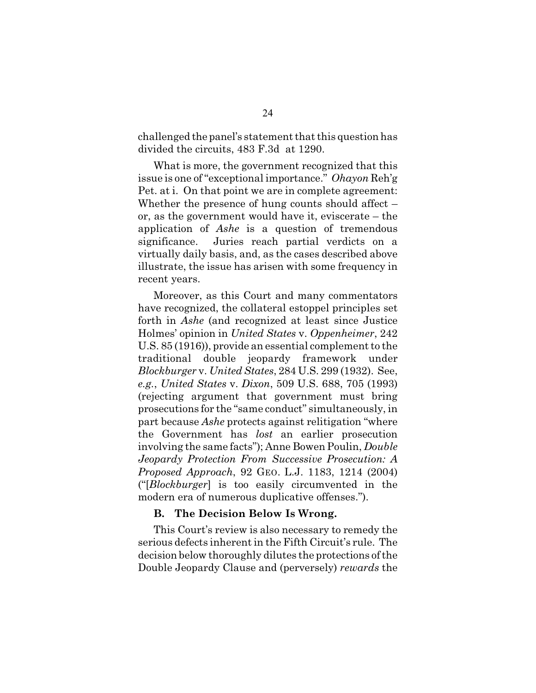challenged the panel's statement that this question has divided the circuits, 483 F.3d at 1290.

What is more, the government recognized that this issue is one of "exceptional importance." *Ohayon* Reh'g Pet. at i. On that point we are in complete agreement: Whether the presence of hung counts should affect – or, as the government would have it, eviscerate – the application of *Ashe* is a question of tremendous significance. Juries reach partial verdicts on a virtually daily basis, and, as the cases described above illustrate, the issue has arisen with some frequency in recent years.

Moreover, as this Court and many commentators have recognized, the collateral estoppel principles set forth in *Ashe* (and recognized at least since Justice Holmes' opinion in *United States* v. *Oppenheimer*, 242 U.S. 85 (1916)), provide an essential complement to the traditional double jeopardy framework under *Blockburger* v. *United States*, 284 U.S. 299 (1932). See, *e.g.*, *United States* v. *Dixon*, 509 U.S. 688, 705 (1993) (rejecting argument that government must bring prosecutions for the "same conduct" simultaneously, in part because *Ashe* protects against relitigation "where the Government has *lost* an earlier prosecution involving the same facts"); Anne Bowen Poulin, *Double Jeopardy Protection From Successive Prosecution: A Proposed Approach*, 92 GEO. L.J. 1183, 1214 (2004) ("[*Blockburger*] is too easily circumvented in the modern era of numerous duplicative offenses.").

#### **B. The Decision Below Is Wrong.**

This Court's review is also necessary to remedy the serious defects inherent in the Fifth Circuit's rule. The decision below thoroughly dilutes the protections of the Double Jeopardy Clause and (perversely) *rewards* the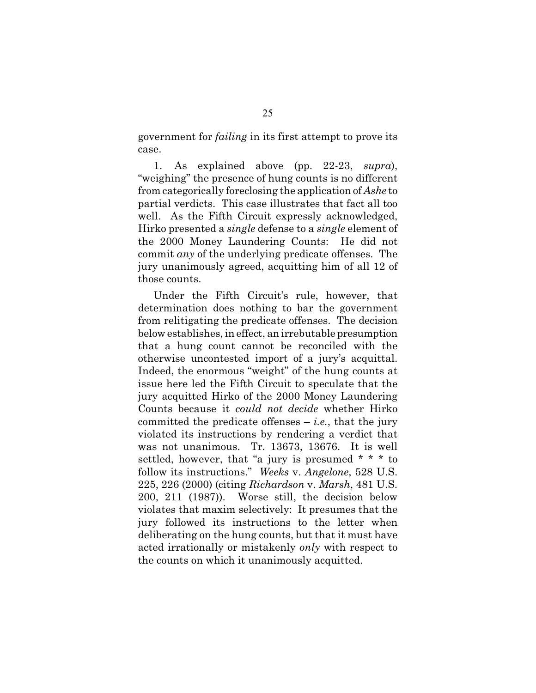government for *failing* in its first attempt to prove its case.

1. As explained above (pp. 22-23, *supra*), "weighing" the presence of hung counts is no different from categorically foreclosing the application of *Ashe* to partial verdicts. This case illustrates that fact all too well. As the Fifth Circuit expressly acknowledged, Hirko presented a *single* defense to a *single* element of the 2000 Money Laundering Counts: He did not commit *any* of the underlying predicate offenses. The jury unanimously agreed, acquitting him of all 12 of those counts.

Under the Fifth Circuit's rule, however, that determination does nothing to bar the government from relitigating the predicate offenses. The decision below establishes, in effect, an irrebutable presumption that a hung count cannot be reconciled with the otherwise uncontested import of a jury's acquittal. Indeed, the enormous "weight" of the hung counts at issue here led the Fifth Circuit to speculate that the jury acquitted Hirko of the 2000 Money Laundering Counts because it *could not decide* whether Hirko committed the predicate offenses  $-$  *i.e.*, that the jury violated its instructions by rendering a verdict that was not unanimous. Tr. 13673, 13676. It is well settled, however, that "a jury is presumed \* \* \* to follow its instructions." *Weeks* v. *Angelone*, 528 U.S. 225, 226 (2000) (citing *Richardson* v. *Marsh*, 481 U.S. 200, 211 (1987)). Worse still, the decision below violates that maxim selectively: It presumes that the jury followed its instructions to the letter when deliberating on the hung counts, but that it must have acted irrationally or mistakenly *only* with respect to the counts on which it unanimously acquitted.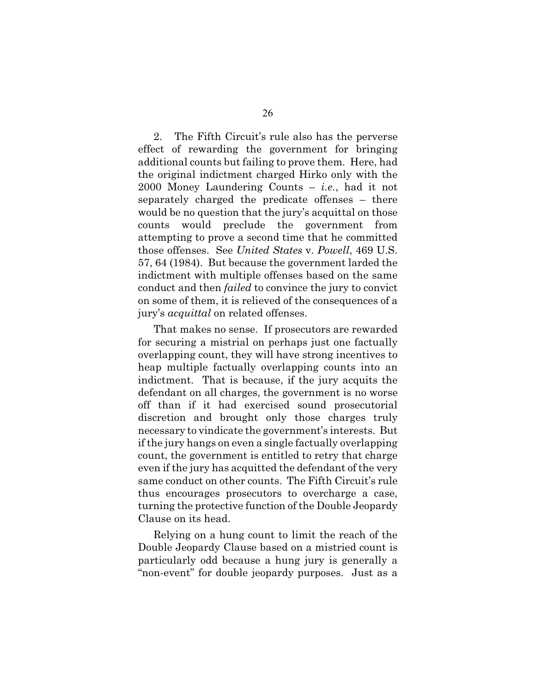2. The Fifth Circuit's rule also has the perverse effect of rewarding the government for bringing additional counts but failing to prove them. Here, had the original indictment charged Hirko only with the 2000 Money Laundering Counts – *i.e.*, had it not separately charged the predicate offenses – there would be no question that the jury's acquittal on those counts would preclude the government from attempting to prove a second time that he committed those offenses. See *United States* v. *Powell*, 469 U.S. 57, 64 (1984). But because the government larded the indictment with multiple offenses based on the same conduct and then *failed* to convince the jury to convict on some of them, it is relieved of the consequences of a jury's *acquittal* on related offenses.

That makes no sense. If prosecutors are rewarded for securing a mistrial on perhaps just one factually overlapping count, they will have strong incentives to heap multiple factually overlapping counts into an indictment. That is because, if the jury acquits the defendant on all charges, the government is no worse off than if it had exercised sound prosecutorial discretion and brought only those charges truly necessary to vindicate the government's interests. But if the jury hangs on even a single factually overlapping count, the government is entitled to retry that charge even if the jury has acquitted the defendant of the very same conduct on other counts. The Fifth Circuit's rule thus encourages prosecutors to overcharge a case, turning the protective function of the Double Jeopardy Clause on its head.

Relying on a hung count to limit the reach of the Double Jeopardy Clause based on a mistried count is particularly odd because a hung jury is generally a "non-event" for double jeopardy purposes. Just as a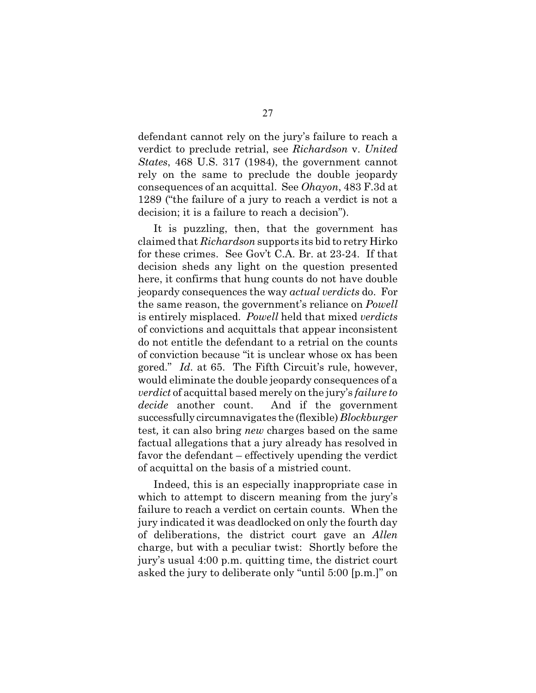defendant cannot rely on the jury's failure to reach a verdict to preclude retrial, see *Richardson* v. *United States*, 468 U.S. 317 (1984), the government cannot rely on the same to preclude the double jeopardy consequences of an acquittal. See *Ohayon*, 483 F.3d at 1289 ("the failure of a jury to reach a verdict is not a decision; it is a failure to reach a decision").

It is puzzling, then, that the government has claimed that *Richardson* supports its bid to retry Hirko for these crimes. See Gov't C.A. Br. at 23-24. If that decision sheds any light on the question presented here, it confirms that hung counts do not have double jeopardy consequences the way *actual verdicts* do. For the same reason, the government's reliance on *Powell* is entirely misplaced. *Powell* held that mixed *verdicts* of convictions and acquittals that appear inconsistent do not entitle the defendant to a retrial on the counts of conviction because "it is unclear whose ox has been gored." *Id.* at 65. The Fifth Circuit's rule, however, would eliminate the double jeopardy consequences of a *verdict* of acquittal based merely on the jury's *failure to decide* another count. And if the government successfully circumnavigates the (flexible) *Blockburger* test*,* it can also bring *new* charges based on the same factual allegations that a jury already has resolved in favor the defendant – effectively upending the verdict of acquittal on the basis of a mistried count.

Indeed, this is an especially inappropriate case in which to attempt to discern meaning from the jury's failure to reach a verdict on certain counts. When the jury indicated it was deadlocked on only the fourth day of deliberations, the district court gave an *Allen* charge, but with a peculiar twist: Shortly before the jury's usual 4:00 p.m. quitting time, the district court asked the jury to deliberate only "until 5:00 [p.m.]" on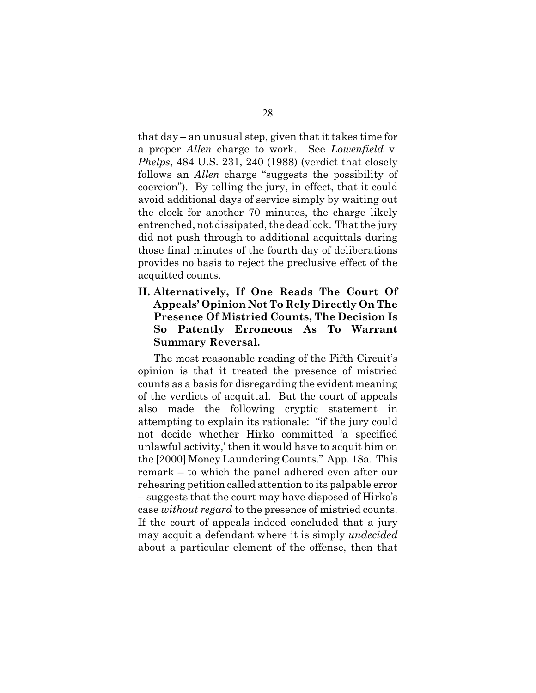that day – an unusual step, given that it takes time for a proper *Allen* charge to work. See *Lowenfield* v. *Phelps*, 484 U.S. 231, 240 (1988) (verdict that closely follows an *Allen* charge "suggests the possibility of coercion"). By telling the jury, in effect, that it could avoid additional days of service simply by waiting out the clock for another 70 minutes, the charge likely entrenched, not dissipated, the deadlock. That the jury did not push through to additional acquittals during those final minutes of the fourth day of deliberations provides no basis to reject the preclusive effect of the acquitted counts.

### **II. Alternatively, If One Reads The Court Of Appeals' Opinion Not To Rely Directly On The Presence Of Mistried Counts, The Decision Is So Patently Erroneous As To Warrant Summary Reversal.**

The most reasonable reading of the Fifth Circuit's opinion is that it treated the presence of mistried counts as a basis for disregarding the evident meaning of the verdicts of acquittal. But the court of appeals also made the following cryptic statement in attempting to explain its rationale: "if the jury could not decide whether Hirko committed 'a specified unlawful activity,' then it would have to acquit him on the [2000] Money Laundering Counts." App. 18a. This remark – to which the panel adhered even after our rehearing petition called attention to its palpable error – suggests that the court may have disposed of Hirko's case *without regard* to the presence of mistried counts. If the court of appeals indeed concluded that a jury may acquit a defendant where it is simply *undecided* about a particular element of the offense, then that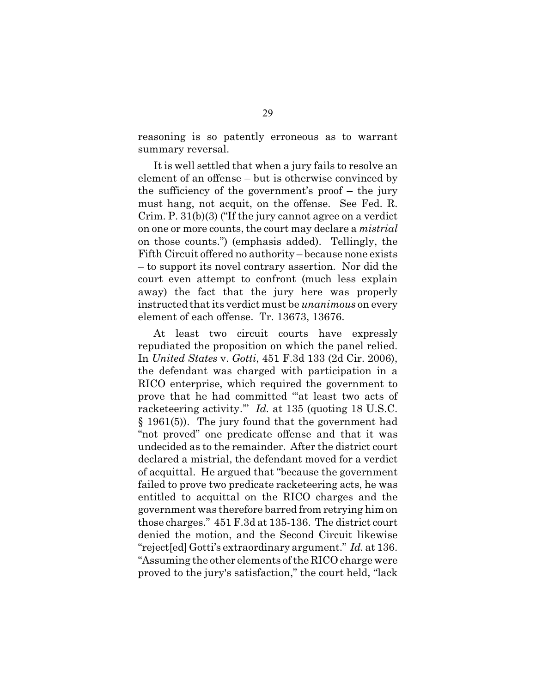reasoning is so patently erroneous as to warrant summary reversal.

It is well settled that when a jury fails to resolve an element of an offense – but is otherwise convinced by the sufficiency of the government's proof – the jury must hang, not acquit, on the offense. See Fed. R. Crim. P. 31(b)(3) ("If the jury cannot agree on a verdict on one or more counts, the court may declare a *mistrial* on those counts.") (emphasis added). Tellingly, the Fifth Circuit offered no authority – because none exists – to support its novel contrary assertion. Nor did the court even attempt to confront (much less explain away) the fact that the jury here was properly instructed that its verdict must be *unanimous* on every element of each offense. Tr. 13673, 13676.

At least two circuit courts have expressly repudiated the proposition on which the panel relied. In *United States* v. *Gotti*, 451 F.3d 133 (2d Cir. 2006), the defendant was charged with participation in a RICO enterprise, which required the government to prove that he had committed "'at least two acts of racketeering activity.'" *Id.* at 135 (quoting 18 U.S.C. § 1961(5)). The jury found that the government had "not proved" one predicate offense and that it was undecided as to the remainder. After the district court declared a mistrial, the defendant moved for a verdict of acquittal. He argued that "because the government failed to prove two predicate racketeering acts, he was entitled to acquittal on the RICO charges and the government was therefore barred from retrying him on those charges." 451 F.3d at 135-136. The district court denied the motion, and the Second Circuit likewise "reject[ed] Gotti's extraordinary argument." *Id.* at 136. "Assuming the other elements of the RICO charge were proved to the jury's satisfaction," the court held, "lack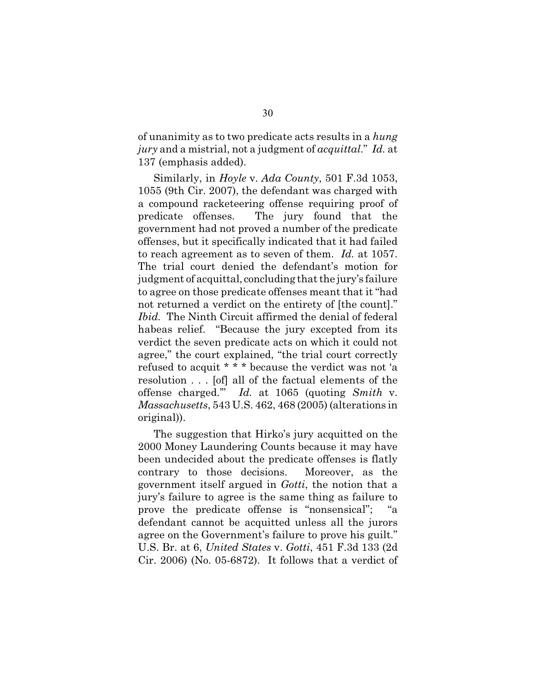of unanimity as to two predicate acts results in a *hung jury* and a mistrial, not a judgment of *acquittal*." *Id.* at 137 (emphasis added).

Similarly, in *Hoyle* v. *Ada County*, 501 F.3d 1053, 1055 (9th Cir. 2007), the defendant was charged with a compound racketeering offense requiring proof of predicate offenses. The jury found that the government had not proved a number of the predicate offenses, but it specifically indicated that it had failed to reach agreement as to seven of them. *Id.* at 1057. The trial court denied the defendant's motion for judgment of acquittal, concluding that the jury's failure to agree on those predicate offenses meant that it "had not returned a verdict on the entirety of [the count]." *Ibid.* The Ninth Circuit affirmed the denial of federal habeas relief. "Because the jury excepted from its verdict the seven predicate acts on which it could not agree," the court explained, "the trial court correctly refused to acquit \* \* \* because the verdict was not 'a resolution . . . [of] all of the factual elements of the offense charged.'" *Id.* at 1065 (quoting *Smith* v. *Massachusetts*, 543 U.S. 462, 468 (2005) (alterations in original)).

The suggestion that Hirko's jury acquitted on the 2000 Money Laundering Counts because it may have been undecided about the predicate offenses is flatly contrary to those decisions. Moreover, as the government itself argued in *Gotti*, the notion that a jury's failure to agree is the same thing as failure to prove the predicate offense is "nonsensical"; defendant cannot be acquitted unless all the jurors agree on the Government's failure to prove his guilt." U.S. Br. at 6, *United States* v. *Gotti*, 451 F.3d 133 (2d Cir. 2006) (No. 05-6872). It follows that a verdict of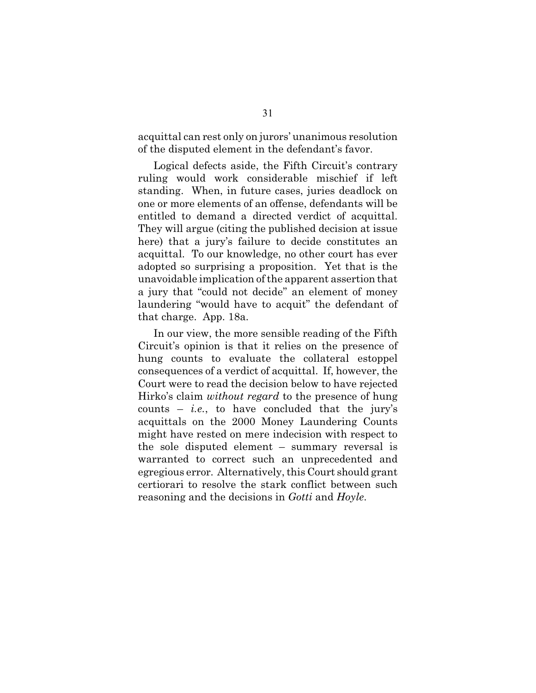acquittal can rest only on jurors' unanimous resolution of the disputed element in the defendant's favor.

Logical defects aside, the Fifth Circuit's contrary ruling would work considerable mischief if left standing. When, in future cases, juries deadlock on one or more elements of an offense, defendants will be entitled to demand a directed verdict of acquittal. They will argue (citing the published decision at issue here) that a jury's failure to decide constitutes an acquittal. To our knowledge, no other court has ever adopted so surprising a proposition. Yet that is the unavoidable implication of the apparent assertion that a jury that "could not decide" an element of money laundering "would have to acquit" the defendant of that charge. App. 18a.

In our view, the more sensible reading of the Fifth Circuit's opinion is that it relies on the presence of hung counts to evaluate the collateral estoppel consequences of a verdict of acquittal. If, however, the Court were to read the decision below to have rejected Hirko's claim *without regard* to the presence of hung counts – *i.e.*, to have concluded that the jury's acquittals on the 2000 Money Laundering Counts might have rested on mere indecision with respect to the sole disputed element – summary reversal is warranted to correct such an unprecedented and egregious error. Alternatively, this Court should grant certiorari to resolve the stark conflict between such reasoning and the decisions in *Gotti* and *Hoyle*.